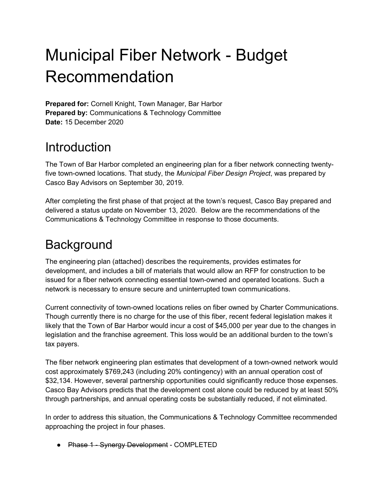# Municipal Fiber Network - Budget Recommendation

**Prepared for:** Cornell Knight, Town Manager, Bar Harbor **Prepared by:** Communications & Technology Committee **Date:** 15 December 2020

#### **Introduction**

The Town of Bar Harbor completed an engineering plan for a fiber network connecting twentyfive town-owned locations. That study, the *Municipal Fiber Design Project*, was prepared by Casco Bay Advisors on September 30, 2019.

After completing the first phase of that project at the town's request, Casco Bay prepared and delivered a status update on November 13, 2020. Below are the recommendations of the Communications & Technology Committee in response to those documents.

# **Background**

The engineering plan (attached) describes the requirements, provides estimates for development, and includes a bill of materials that would allow an RFP for construction to be issued for a fiber network connecting essential town-owned and operated locations. Such a network is necessary to ensure secure and uninterrupted town communications.

Current connectivity of town-owned locations relies on fiber owned by Charter Communications. Though currently there is no charge for the use of this fiber, recent federal legislation makes it likely that the Town of Bar Harbor would incur a cost of \$45,000 per year due to the changes in legislation and the franchise agreement. This loss would be an additional burden to the town's tax payers.

The fiber network engineering plan estimates that development of a town-owned network would cost approximately \$769,243 (including 20% contingency) with an annual operation cost of \$32,134. However, several partnership opportunities could significantly reduce those expenses. Casco Bay Advisors predicts that the development cost alone could be reduced by at least 50% through partnerships, and annual operating costs be substantially reduced, if not eliminated.

In order to address this situation, the Communications & Technology Committee recommended approaching the project in four phases.

● Phase 1 - Synergy Development - COMPLETED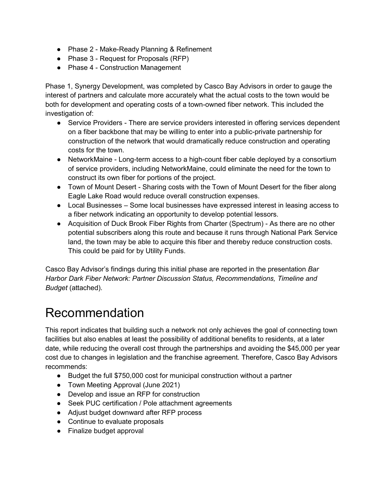- Phase 2 Make-Ready Planning & Refinement
- Phase 3 Request for Proposals (RFP)
- Phase 4 Construction Management

Phase 1, Synergy Development, was completed by Casco Bay Advisors in order to gauge the interest of partners and calculate more accurately what the actual costs to the town would be both for development and operating costs of a town-owned fiber network. This included the investigation of:

- Service Providers There are service providers interested in offering services dependent on a fiber backbone that may be willing to enter into a public-private partnership for construction of the network that would dramatically reduce construction and operating costs for the town.
- NetworkMaine Long-term access to a high-count fiber cable deployed by a consortium of service providers, including NetworkMaine, could eliminate the need for the town to construct its own fiber for portions of the project.
- Town of Mount Desert Sharing costs with the Town of Mount Desert for the fiber along Eagle Lake Road would reduce overall construction expenses.
- Local Businesses Some local businesses have expressed interest in leasing access to a fiber network indicating an opportunity to develop potential lessors.
- Acquisition of Duck Brook Fiber Rights from Charter (Spectrum) As there are no other potential subscribers along this route and because it runs through National Park Service land, the town may be able to acquire this fiber and thereby reduce construction costs. This could be paid for by Utility Funds.

Casco Bay Advisor's findings during this initial phase are reported in the presentation *Bar Harbor Dark Fiber Network: Partner Discussion Status, Recommendations, Timeline and Budget* (attached).

### Recommendation

This report indicates that building such a network not only achieves the goal of connecting town facilities but also enables at least the possibility of additional benefits to residents, at a later date, while reducing the overall cost through the partnerships and avoiding the \$45,000 per year cost due to changes in legislation and the franchise agreement. Therefore, Casco Bay Advisors recommends:

- Budget the full \$750,000 cost for municipal construction without a partner
- Town Meeting Approval (June 2021)
- Develop and issue an RFP for construction
- Seek PUC certification / Pole attachment agreements
- Adjust budget downward after RFP process
- Continue to evaluate proposals
- Finalize budget approval